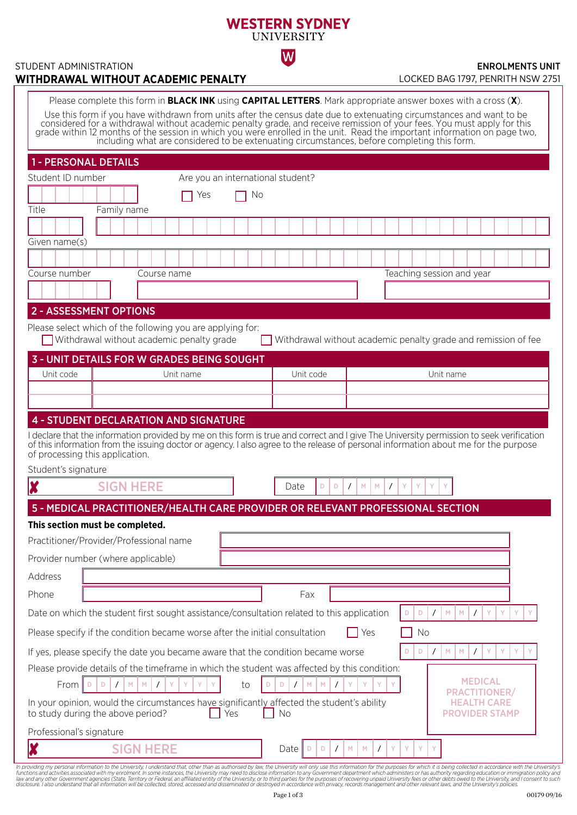# **WESTERN SYDNEY UNIVERSITY**

 $|\mathsf{W}|$ 

#### STUDENT ADMINISTRATION **WITHDRAWAL WITHOUT ACADEMIC PENALTY**

#### ENROLMENTS UNIT LOCKED BAG 1797, PENRITH NSW 2751

| Please complete this form in <b>BLACK INK</b> using <b>CAPITAL LETTERS</b> . Mark appropriate answer boxes with a cross (X).<br>Use this form if you have withdrawn from units after the census date due to extenuating circumstances and want to be<br>considered for a withdrawal without academic penalty grade, and receive remission of your fees. You must apply for this grade within 12 months of the session in which you were enrolled in the unit. Read the important infor<br>including what are considered to be extenuating circumstances, before completing this form. |
|---------------------------------------------------------------------------------------------------------------------------------------------------------------------------------------------------------------------------------------------------------------------------------------------------------------------------------------------------------------------------------------------------------------------------------------------------------------------------------------------------------------------------------------------------------------------------------------|
| <b>1 - PERSONAL DETAILS</b>                                                                                                                                                                                                                                                                                                                                                                                                                                                                                                                                                           |
| Student ID number<br>Are you an international student?                                                                                                                                                                                                                                                                                                                                                                                                                                                                                                                                |
| No<br>Yes                                                                                                                                                                                                                                                                                                                                                                                                                                                                                                                                                                             |
| Title<br>Family name                                                                                                                                                                                                                                                                                                                                                                                                                                                                                                                                                                  |
|                                                                                                                                                                                                                                                                                                                                                                                                                                                                                                                                                                                       |
| Given name(s)                                                                                                                                                                                                                                                                                                                                                                                                                                                                                                                                                                         |
|                                                                                                                                                                                                                                                                                                                                                                                                                                                                                                                                                                                       |
| Course number<br>Teaching session and year<br>Course name                                                                                                                                                                                                                                                                                                                                                                                                                                                                                                                             |
|                                                                                                                                                                                                                                                                                                                                                                                                                                                                                                                                                                                       |
| <b>2 - ASSESSMENT OPTIONS</b>                                                                                                                                                                                                                                                                                                                                                                                                                                                                                                                                                         |
| Please select which of the following you are applying for:<br>Withdrawal without academic penalty grade<br>Withdrawal without academic penalty grade and remission of fee                                                                                                                                                                                                                                                                                                                                                                                                             |
| <b>3 - UNIT DETAILS FOR W GRADES BEING SOUGHT</b>                                                                                                                                                                                                                                                                                                                                                                                                                                                                                                                                     |
| Unit code<br>Unit name<br>Unit code<br>Unit name                                                                                                                                                                                                                                                                                                                                                                                                                                                                                                                                      |
|                                                                                                                                                                                                                                                                                                                                                                                                                                                                                                                                                                                       |
|                                                                                                                                                                                                                                                                                                                                                                                                                                                                                                                                                                                       |
| <b>4 - STUDENT DECLARATION AND SIGNATURE</b>                                                                                                                                                                                                                                                                                                                                                                                                                                                                                                                                          |
| I declare that the information provided by me on this form is true and correct and I give The University permission to seek verification<br>of this information from the issuing doctor or agency. I also agree to the release of personal information about me for the purpose<br>of processing this application.                                                                                                                                                                                                                                                                    |
| Student's signature                                                                                                                                                                                                                                                                                                                                                                                                                                                                                                                                                                   |
| <b>SIGN HERE</b><br>M<br>M<br>$\prime$<br>Y<br>Y<br>Date<br>D.<br>D<br>$\prime$<br>Y                                                                                                                                                                                                                                                                                                                                                                                                                                                                                                  |
| 5 - MEDICAL PRACTITIONER/HEALTH CARE PROVIDER OR RELEVANT PROFESSIONAL SECTION                                                                                                                                                                                                                                                                                                                                                                                                                                                                                                        |
| This section must be completed.                                                                                                                                                                                                                                                                                                                                                                                                                                                                                                                                                       |
| Practitioner/Provider/Professional name                                                                                                                                                                                                                                                                                                                                                                                                                                                                                                                                               |
| Provider number (where applicable)                                                                                                                                                                                                                                                                                                                                                                                                                                                                                                                                                    |
| Address                                                                                                                                                                                                                                                                                                                                                                                                                                                                                                                                                                               |
| Phone<br>Fax                                                                                                                                                                                                                                                                                                                                                                                                                                                                                                                                                                          |
| Date on which the student first sought assistance/consultation related to this application<br>M<br>M<br>Y<br>Y<br>Y<br>D<br>D<br>$\prime$<br>$\prime$                                                                                                                                                                                                                                                                                                                                                                                                                                 |
| Please specify if the condition became worse after the initial consultation<br>Yes<br>No                                                                                                                                                                                                                                                                                                                                                                                                                                                                                              |
| If yes, please specify the date you became aware that the condition became worse<br>${\sf M}$<br>Y<br>Y<br>M<br>$\prime$<br>Υ<br>D<br>D<br>$\prime$                                                                                                                                                                                                                                                                                                                                                                                                                                   |
| Please provide details of the timeframe in which the student was affected by this condition:<br><b>MEDICAL</b><br>From<br>${\sf M}$<br>Y<br>Y<br>M<br>M<br>M<br>Y<br>D<br>$\prime$<br>Υ<br>Y<br>D<br>$\prime$<br>to<br>D<br>$\prime$<br>Ð<br><b>PRACTITIONER/</b>                                                                                                                                                                                                                                                                                                                     |
| In your opinion, would the circumstances have significantly affected the student's ability<br>HEALTH CARE<br>to study during the above period?<br>Yes<br>No<br><b>PROVIDER STAMP</b>                                                                                                                                                                                                                                                                                                                                                                                                  |
| Professional's signature                                                                                                                                                                                                                                                                                                                                                                                                                                                                                                                                                              |
| <b>SIGN HERE</b><br>$\bar{\mathsf{Y}}$<br>Date<br>M<br>$\mathsf{M}% _{0}$<br>$\overline{1}$<br>Y<br>Y<br>$\mathsf D$<br>$\prime$                                                                                                                                                                                                                                                                                                                                                                                                                                                      |

In providing my personal information to the University, I understand that, other than as authorised by law, the University will only use this information for the purposes for which it is being collected in accordance with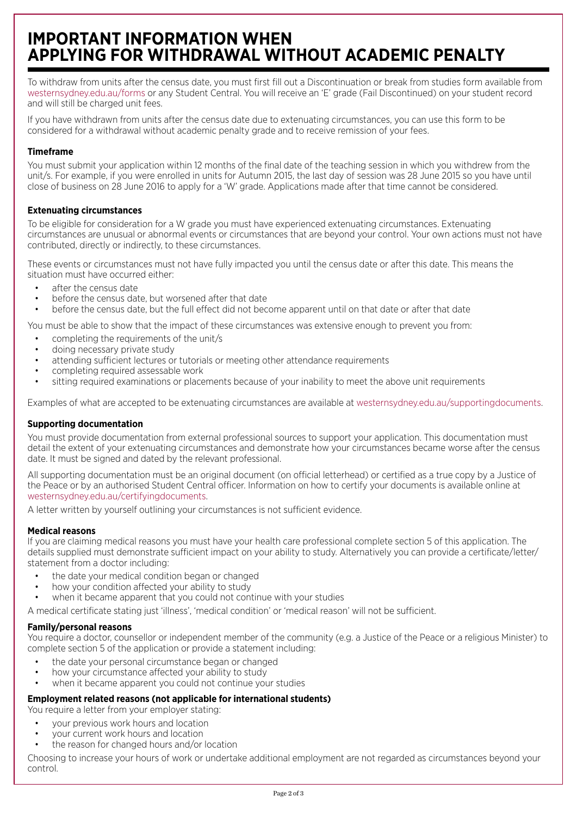# **IMPORTANT INFORMATION WHEN APPLYING FOR WITHDRAWAL WITHOUT ACADEMIC PENALTY**

To withdraw from units after the census date, you must first fill out a Discontinuation or break from studies form available from westernsydney.edu.au/forms or any Student Central. You will receive an 'E' grade (Fail Discontinued) on your student record and will still be charged unit fees.

If you have withdrawn from units after the census date due to extenuating circumstances, you can use this form to be considered for a withdrawal without academic penalty grade and to receive remission of your fees.

# **Timeframe**

You must submit your application within 12 months of the final date of the teaching session in which you withdrew from the unit/s. For example, if you were enrolled in units for Autumn 2015, the last day of session was 28 June 2015 so you have until close of business on 28 June 2016 to apply for a 'W' grade. Applications made after that time cannot be considered.

# **Extenuating circumstances**

To be eligible for consideration for a W grade you must have experienced extenuating circumstances. Extenuating circumstances are unusual or abnormal events or circumstances that are beyond your control. Your own actions must not have contributed, directly or indirectly, to these circumstances.

These events or circumstances must not have fully impacted you until the census date or after this date. This means the situation must have occurred either:

- after the census date
- before the census date, but worsened after that date
- before the census date, but the full effect did not become apparent until on that date or after that date

You must be able to show that the impact of these circumstances was extensive enough to prevent you from:

- completing the requirements of the unit/s
- doing necessary private study
- attending sufficient lectures or tutorials or meeting other attendance requirements
- completing required assessable work
- sitting required examinations or placements because of your inability to meet the above unit requirements

Examples of what are accepted to be extenuating circumstances are available at westernsydney.edu.au/supportingdocuments.

## **Supporting documentation**

You must provide documentation from external professional sources to support your application. This documentation must detail the extent of your extenuating circumstances and demonstrate how your circumstances became worse after the census date. It must be signed and dated by the relevant professional.

All supporting documentation must be an original document (on official letterhead) or certified as a true copy by a Justice of the Peace or by an authorised Student Central officer. Information on how to certify your documents is available online at westernsydney.edu.au/certifyingdocuments.

A letter written by yourself outlining your circumstances is not sufficient evidence.

## **Medical reasons**

If you are claiming medical reasons you must have your health care professional complete section 5 of this application. The details supplied must demonstrate sufficient impact on your ability to study. Alternatively you can provide a certificate/letter/ statement from a doctor including:

- the date your medical condition began or changed
- how your condition affected your ability to study
- when it became apparent that you could not continue with your studies

A medical certificate stating just 'illness', 'medical condition' or 'medical reason' will not be sufficient.

## **Family/personal reasons**

You require a doctor, counsellor or independent member of the community (e.g. a Justice of the Peace or a religious Minister) to complete section 5 of the application or provide a statement including:

- the date your personal circumstance began or changed
- how your circumstance affected your ability to study
- when it became apparent you could not continue your studies

## **Employment related reasons (not applicable for international students)**

You require a letter from your employer stating:

- your previous work hours and location
- your current work hours and location
- the reason for changed hours and/or location

Choosing to increase your hours of work or undertake additional employment are not regarded as circumstances beyond your control.